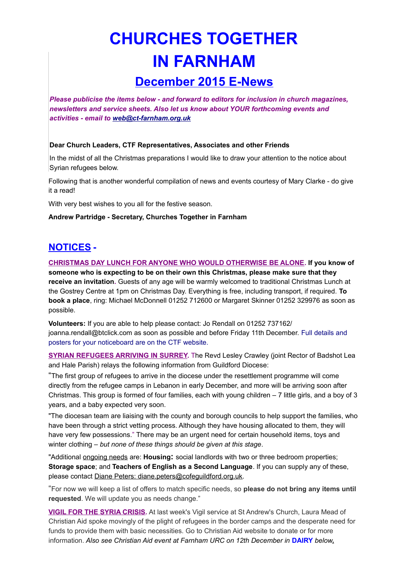# **CHURCHES TOGETHER IN FARNHAM**

# **December 2015 E-News**

*Please publicise the items below - and forward to editors for inclusion in church magazines, newsletters and service sheets. Also let us know about YOUR forthcoming events and activities - email to [web@ct-farnham.org.uk](mailto:web@ct-farnham.org.uk)*

#### **Dear Church Leaders, CTF Representatives, Associates and other Friends**

In the midst of all the Christmas preparations I would like to draw your attention to the notice about Syrian refugees below.

Following that is another wonderful compilation of news and events courtesy of Mary Clarke - do give it a read!

With very best wishes to you all for the festive season.

#### **Andrew Partridge - Secretary, Churches Together in Farnham**

## **NOTICES -**

**CHRISTMAS DAY LUNCH FOR ANYONE WHO WOULD OTHERWISE BE ALONE. If you know of someone who is expecting to be on their own this Christmas, please make sure that they receive an invitation.** Guests of any age will be warmly welcomed to traditional Christmas Lunch at the Gostrey Centre at 1pm on Christmas Day. Everything is free, including transport, if required. **To book a place**, ring: Michael McDonnell 01252 712600 or Margaret Skinner 01252 329976 as soon as possible.

**Volunteers:** If you are able to help please contact: Jo Rendall on 01252 737162/ joanna.rendall@btclick.com as soon as possible and before Friday 11th December. Full details and posters for your noticeboard are on the CTF website.

**SYRIAN REFUGEES ARRIVING IN SURREY.** The Revd Lesley Crawley (joint Rector of Badshot Lea and Hale Parish) relays the following information from Guildford Diocese:

"The first group of refugees to arrive in the diocese under the resettlement programme will come directly from the refugee camps in Lebanon in early December, and more will be arriving soon after Christmas. This group is formed of four families, each with young children – 7 little girls, and a boy of 3 years, and a baby expected very soon.

"The diocesan team are liaising with the county and borough councils to help support the families, who have been through a strict vetting process. Although they have housing allocated to them, they will have very few possessions." There may be an urgent need for certain household items, toys and winter clothing – *but none of these things should be given at this stage*.

"Additional ongoing needs are: **Housing:** social landlords with two or three bedroom properties; **Storage space**; and **Teachers of English as a Second Language**. If you can supply any of these, please contact [Diane Peters:](mailto:Diane.Peters@cofeguildford.org.ok) [diane.peters@cofeguildford.org.uk.](mailto:diane.peters@cofeguildford.org.uk.)

"For now we will keep a list of offers to match specific needs, so **please do not bring any items until requested**. We will update you as needs change."

**VIGIL FOR THE SYRIA CRISIS.** At last week's Vigil service at St Andrew's Church, Laura Mead of Christian Aid spoke movingly of the plight of refugees in the border camps and the desperate need for funds to provide them with basic necessities. Go to Christian Aid website to donate or for more information. *Also see Christian Aid event at Farnham URC on 12th December in* **DAIRY** *below***.**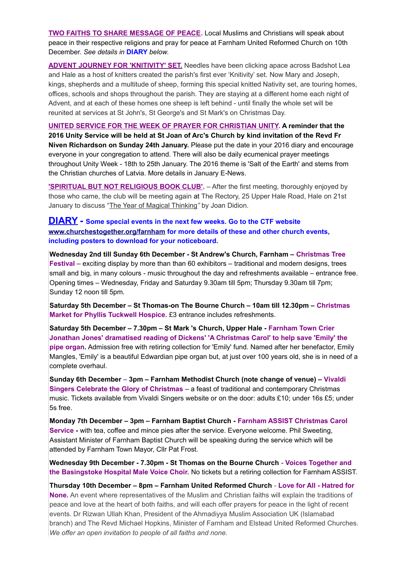**TWO FAITHS TO SHARE MESSAGE OF PEACE.** Local Muslims and Christians will speak about peace in their respective religions and pray for peace at Farnham United Reformed Church on 10th December. *See details in* **DIARY** *below*.

**ADVENT JOURNEY FOR 'KNITIVITY' SET.** Needles have been clicking apace across Badshot Lea and Hale as a host of knitters created the parish's first ever 'Knitivity' set. Now Mary and Joseph, kings, shepherds and a multitude of sheep, forming this special knitted Nativity set, are touring homes, offices, schools and shops throughout the parish. They are staying at a different home each night of Advent, and at each of these homes one sheep is left behind - until finally the whole set will be reunited at services at St John's, St George's and St Mark's on Christmas Day.

**UNITED SERVICE FOR THE WEEK OF PRAYER FOR CHRISTIAN UNITY. A reminder that the 2016 Unity Service will be held at St Joan of Arc's Church by kind invitation of the Revd Fr Niven Richardson on Sunday 24th January.** Please put the date in your 2016 diary and encourage everyone in your congregation to attend. There will also be daily ecumenical prayer meetings throughout Unity Week - 18th to 25th January. The 2016 theme is 'Salt of the Earth' and stems from the Christian churches of Latvia. More details in January E-News.

**'SPIRITUAL BUT NOT RELIGIOUS BOOK CLUB'.** – After the first meeting, thoroughly enjoyed by those who came, the club will be meeting again at The Rectory, 25 Upper Hale Road, Hale on 21st January to discuss ["The Year of Magical Thinking](http://www.amazon.co.uk/Year-Magical-Thinking-Joan-Didion/dp/0007216858/ref=sr_1_1?s=books&ie=UTF8&qid=1447420251&sr=1-1&keywords=the+year+of+magical+thinking)*"* by Joan Didion.

### **DIARY - Some special events in the next few weeks. Go to the CTF website [www.churchestogether.org/farnham](http://www.churchestogether.org/farnham) for more details of these and other church events, including posters to download for your noticeboard.**

**Wednesday 2nd till Sunday 6th December - St Andrew's Church, Farnham – Christmas Tree Festival** *–* exciting display by more than than 60 exhibitors – traditional and modern designs, trees small and big, in many colours - music throughout the day and refreshments available – entrance free. Opening times – Wednesday, Friday and Saturday 9.30am till 5pm; Thursday 9.30am till 7pm; Sunday 12 noon till 5pm.

**Saturday 5th December – St Thomas-on The Bourne Church – 10am till 12.30pm – Christmas Market for Phyllis Tuckwell Hospice.** £3 entrance includes refreshments.

**Saturday 5th December – 7.30pm – St Mark 's Church, Upper Hale - Farnham Town Crier Jonathan Jones' dramatised reading of Dickens' 'A Christmas Carol' to help save 'Emily' the pipe organ.** Admission free with retiring collection for 'Emily' fund. Named after her benefactor, Emily Mangles, 'Emily' is a beautiful Edwardian pipe organ but, at just over 100 years old, she is in need of a complete overhaul.

**Sunday 6th December** *–* **3pm – Farnham Methodist Church (note change of venue) – Vivaldi Singers Celebrate the Glory of Christmas** *–* a feast of traditional and contemporary Christmas music. Tickets available from Vivaldi Singers website or on the door: adults £10; under 16s £5; under 5s free.

**Monday 7th December – 3pm – Farnham Baptist Church - Farnham ASSIST Christmas Carol Service -** with tea, coffee and mince pies after the service. Everyone welcome. Phil Sweeting, Assistant Minister of Farnham Baptist Church will be speaking during the service which will be attended by Farnham Town Mayor, Cllr Pat Frost.

**Wednesday 9th December - 7.30pm - St Thomas on the Bourne Church** - **Voices Together and the Basingstoke Hospital Male Voice Choir.** No tickets but a retiring collection for Farnham ASSIST.

**Thursday 10th December – 8pm – Farnham United Reformed Church** - **Love for All - Hatred for None.** An event where representatives of the Muslim and Christian faiths will explain the traditions of peace and love at the heart of both faiths, and will each offer prayers for peace in the light of recent events. Dr Rizwan Ullah Khan, President of the Ahmadiyya Muslim Association UK (Islamabad branch) and The Revd Michael Hopkins, Minister of Farnham and Elstead United Reformed Churches. *We offer an open invitation to people of all faiths and none.*